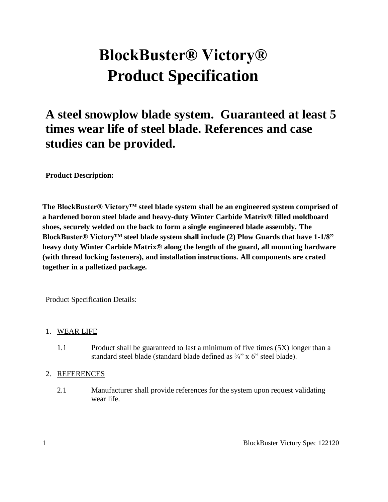# **BlockBuster® Victory® Product Specification**

# **A steel snowplow blade system. Guaranteed at least 5 times wear life of steel blade. References and case studies can be provided.**

**Product Description:**

**The BlockBuster® Victory™ steel blade system shall be an engineered system comprised of a hardened boron steel blade and heavy-duty Winter Carbide Matrix® filled moldboard shoes, securely welded on the back to form a single engineered blade assembly. The BlockBuster® Victory™ steel blade system shall include (2) Plow Guards that have 1-1/8" heavy duty Winter Carbide Matrix® along the length of the guard, all mounting hardware (with thread locking fasteners), and installation instructions. All components are crated together in a palletized package.**

Product Specification Details:

#### 1. WEAR LIFE

1.1 Product shall be guaranteed to last a minimum of five times (5X) longer than a standard steel blade (standard blade defined as ¾" x 6" steel blade).

#### 2. REFERENCES

2.1 Manufacturer shall provide references for the system upon request validating wear life.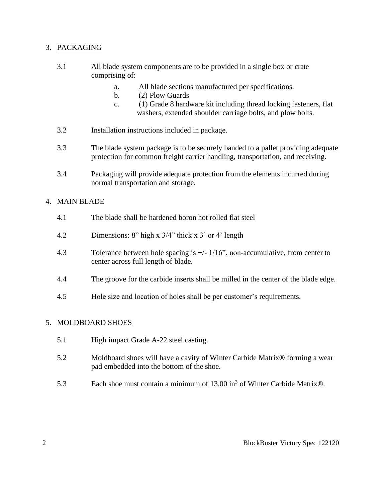#### 3. PACKAGING

- 3.1 All blade system components are to be provided in a single box or crate comprising of:
	- a. All blade sections manufactured per specifications.
	- b. (2) Plow Guards
	- c. (1) Grade 8 hardware kit including thread locking fasteners, flat washers, extended shoulder carriage bolts, and plow bolts.
- 3.2 Installation instructions included in package.
- 3.3 The blade system package is to be securely banded to a pallet providing adequate protection for common freight carrier handling, transportation, and receiving.
- 3.4 Packaging will provide adequate protection from the elements incurred during normal transportation and storage.

#### 4. MAIN BLADE

- 4.1 The blade shall be hardened boron hot rolled flat steel
- 4.2 Dimensions: 8" high x 3/4" thick x 3' or 4' length
- 4.3 Tolerance between hole spacing is +/- 1/16", non-accumulative, from center to center across full length of blade.
- 4.4 The groove for the carbide inserts shall be milled in the center of the blade edge.
- 4.5 Hole size and location of holes shall be per customer's requirements.

#### 5. MOLDBOARD SHOES

- 5.1 High impact Grade A-22 steel casting.
- 5.2 Moldboard shoes will have a cavity of Winter Carbide Matrix® forming a wear pad embedded into the bottom of the shoe.
- 5.3 Each shoe must contain a minimum of  $13.00 \text{ in}^3$  of Winter Carbide Matrix®.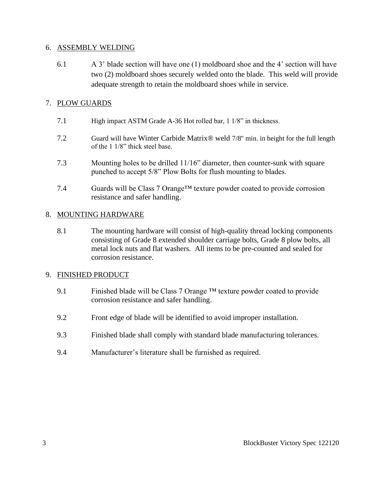#### 6. ASSEMBLY WELDING

6.1 A 3' blade section will have one (1) moldboard shoe and the 4' section will have two (2) moldboard shoes securely welded onto the blade. This weld will provide adequate strength to retain the moldboard shoes while in service.

#### 7. PLOW GUARDS

- 7.1 High impact ASTM Grade A-36 Hot rolled bar, 1 1/8" in thickness.
- 7.2 Guard will have Winter Carbide Matrix® weld 7/8" min. in height for the full length of the 1 1/8" thick steel base.
- 7.3 Mounting holes to be drilled 11/16" diameter, then counter-sunk with square punched to accept 5/8" Plow Bolts for flush mounting to blades.
- 7.4 Guards will be Class 7 Orange<sup>TM</sup> texture powder coated to provide corrosion resistance and safer handling.

#### 8. MOUNTING HARDWARE

8.1 The mounting hardware will consist of high-quality thread locking components consisting of Grade 8 extended shoulder carriage bolts, Grade 8 plow bolts, all metal lock nuts and flat washers. All items to be pre-counted and sealed for corrosion resistance.

#### 9. FINISHED PRODUCT

- 9.1 Finished blade will be Class 7 Orange  $TM$  texture powder coated to provide corrosion resistance and safer handling.
- 9.2 Front edge of blade will be identified to avoid improper installation.
- 9.3 Finished blade shall comply with standard blade manufacturing tolerances.
- 9.4 Manufacturer's literature shall be furnished as required.